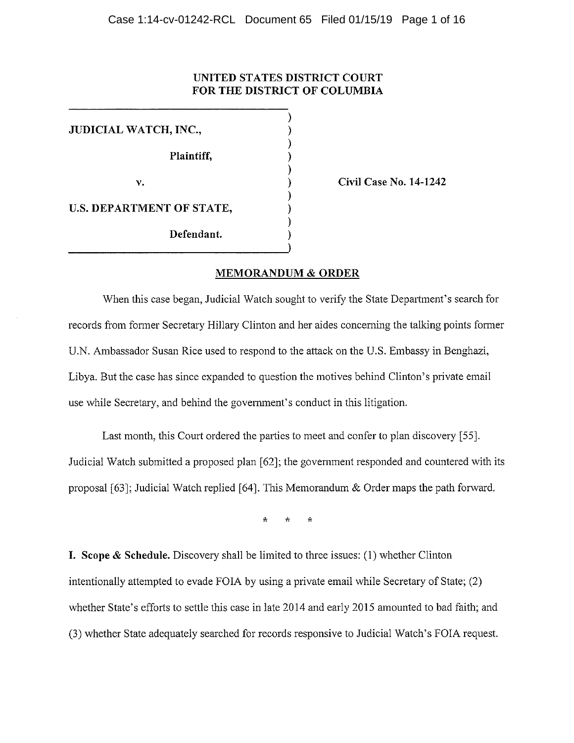### **UNITED STATES DISTRICT COURT FOR THE DISTRICT OF COLUMBIA**

**v. Civil Case No. 14-1242** 

### **MEMORANDUM & ORDER**

)

When this case began, Judicial Watch sought to verify the State Department's search for records from former Secretary Hillary Clinton and her aides concerning the talking points fonner U.N. Ambassador Susan Rice used to respond to the attack on the U.S. Embassy in Benghazi, Libya. But the case has since expanded to question the motives behind Clinton's private email use while Secretary, and behind the government's conduct in this litigation.

Last month, this Court ordered the parties to meet and confer to plan discovery [55]. Judicial Watch submitted a proposed plan [62]; the government responded and countered with its proposal [63]; Judicial Watch replied [64]. This Memorandum & Order maps the path forward.

\* \* \*

**I. Scope & Schedule.** Discovery shall be limited to three issues: (I) whether Clinton intentionally attempted to evade FOIA by using a private email while Secretary of State; (2) whether State's efforts to settle this case in late 2014 and early 2015 amounted to bad faith; and (3) whether State adequately searched for records responsive to Judicial Watch's FOIA request.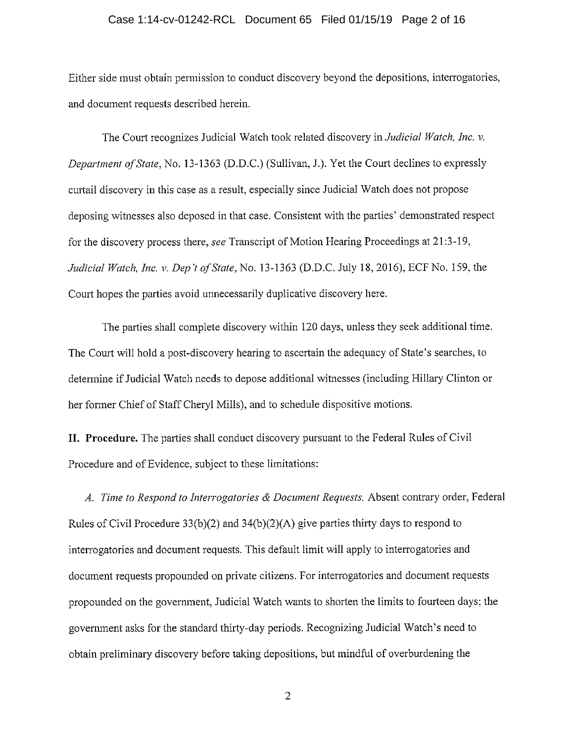#### Case 1:14-cv-01242-RCL Document 65 Filed 01/15/19 Page 2 of 16

Either side must obtain permission to conduct discovery beyond the depositions, interrogatories, and document requests described herein.

The Court recognizes Judicial Watch took related discovery in *Judicial Watch, Inc. v. Department of State, No. 13-1363 (D.D.C.) (Sullivan, J.). Yet the Court declines to expressly* curtail discovery in this case as a result, especially since Judicial Watch does not propose deposing witnesses also deposed in that case. Consistent with the parties' demonstrated respect for the discovery process there, *see* Transcript of Motion Hearing Proceedings at 21:3-19, *Judicial Watch, Inc. v. Dep 't of State,* No. 13-1363 (D.D.C. July 18, 2016), ECF No. 159, the Court hopes the parties avoid unnecessarily duplicative discovery here.

The parties shall complete discovery within 120 days, unless they seek additional time. The Court will hold a post-discovery hearing to ascertain the adequacy of State's searches, to determine if Judicial Watch needs to depose additional witnesses (including Hillary Clinton or her former Chief of Staff Cheryl Mills), and to schedule dispositive motions.

**II. Procedure.** The parties shall conduct discovery pursuant to the Federal Rules of Civil Procedure and of Evidence, subject to these limitations:

*A. Time to Respond to Interrogatories & Document Requests.* Absent contrary order, Federal Rules of Civil Procedure 33(b)(2) and 34(b)(2)(A) give parties thirty days to respond to interrogatories and document requests. This default limit will apply to interrogatories and document requests propounded on private citizens. For interrogatories and document requests propounded on the govermnent, Judicial Watch wants to shorten the limits to fomieen days; the government asks for the standard thirty-day periods. Recognizing Judicial Watch's need to obtain preliminary discovery before taking depositions, but mindful of overburdening the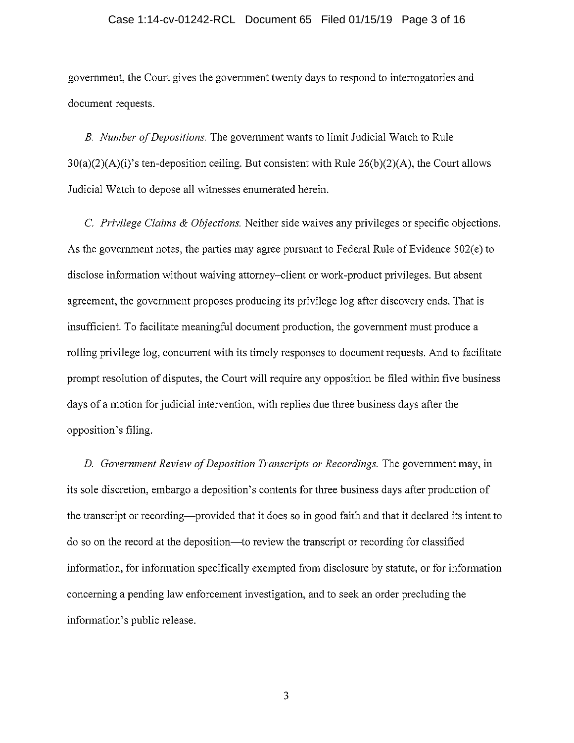#### Case 1:14-cv-01242-RCL Document 65 Filed 01/15/19 Page 3 of 16

government, the Court gives the government twenty days to respond to interrogatories and document requests.

B. *Number of Depositions.* The government wants to limit Judicial Watch to Rule  $30(a)(2)(A)(i)$ 's ten-deposition ceiling. But consistent with Rule  $26(b)(2)(A)$ , the Court allows Judicial Watch to depose all witnesses enumerated herein.

C. *Privilege Claims & Objections.* Neither side waives any privileges or specific objections. As the government notes, the parties may agree pursuant to Federal Rule of Evidence 502(e) to disclose information without waiving attorney-client or work-product privileges. But absent agreement, the government proposes producing its privilege log after discovery ends. That is insufficient. To facilitate meaningful document production, the government must produce a rolling privilege log, concurrent with its timely responses to document requests. And to facilitate prompt resolution of disputes, the Court will require any opposition be filed within five business days of a motion for judicial intervention, with replies due three business days after the opposition's filing.

D. *Government Review of Deposition Transcripts or Recordings.* The government may, in its sole discretion, embargo a deposition's contents for three business days after production of the transcript or recording-provided that it does so in good faith and that it declared its intent to do so on the record at the deposition-to review the transcript or recording for classified information, for information specifically exempted from disclosure by statute, or for information concerning a pending law enforcement investigation, and to seek an order precluding the information's public release.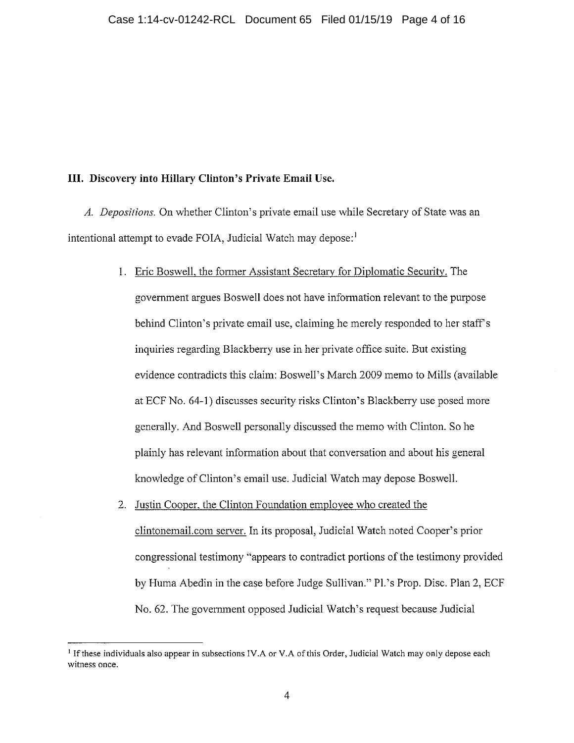## **III. Discovery into Hillary Clinton's Private Email Use.**

*A. Depositions.* On whether Clinton's private email use while Secretary of State was an intentional attempt to evade FOIA, Judicial Watch may depose:<sup>1</sup>

- 1. Eric Boswell. the fonner Assistant Secretary for Diplomatic Security. The government argues Boswell does not have infonnation relevant to the purpose behind Clinton's private email use, claiming he merely responded to her staffs inquiries regarding Blackberry use in her private office suite. But existing evidence contradicts this claim: Boswell's March 2009 memo to Mills (available at ECF No. 64-1) discusses security risks Clinton's Blackberry use posed more generally. And Boswell personally discussed the memo with Clinton. So he plainly has relevant information about that conversation and about his general knowledge of Clinton's email use. Judicial Watch may depose Boswell.
- 2. Justin Cooper. the Clinton Foundation employee who created the clintonemail.com server. In its proposal, Judicial Watch noted Cooper's prior congressional testimony "appears to contradict portions of the testimony provided by Huma Abedin in the case before Judge Sullivan." Pl. 's Prop. Disc. Plan 2, ECF No. 62. The government opposed Judicial Watch's request because Judicial

<sup>&</sup>lt;sup>1</sup> If these individuals also appear in subsections IV.A or V.A of this Order, Judicial Watch may only depose each **witness once.**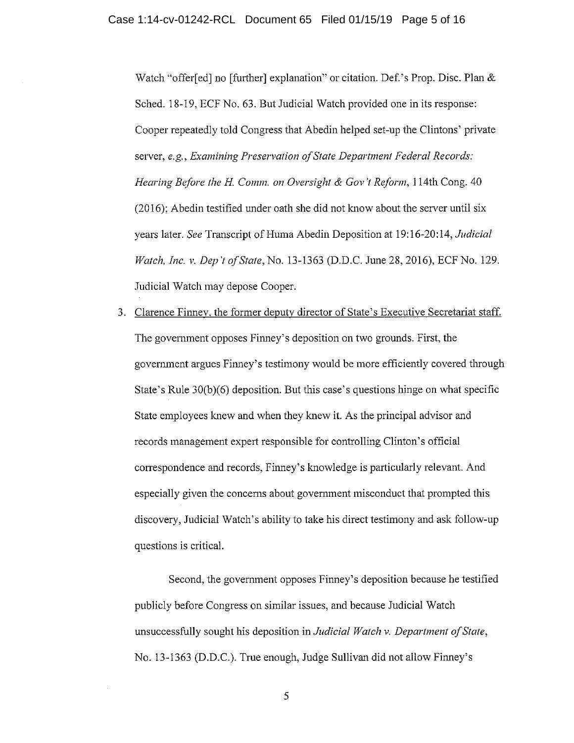Watch "offer[ed] no [further] explanation" or citation. Def.'s Prop. Disc. Plan & Sched. 18-19, ECF No. 63. But Judicial Watch provided one in its response: Cooper repeatedly told Congress that Abedin helped set-up the Clintons' private server, *e.g., Examining Preservation of State Department Federal Records: Hearing Before the H. Comm. on Oversight & Gov't Reform, 114th Cong. 40* (2016); Abedin testified under oath she did not know about the server until six years later. *See* Transcript of Huma Abedin Deposition at 19:16-20:14, *Judicial Watch, Inc. v. Dep 't of State,* No. 13-1363 (D.D.C. June 28, 2016), ECF No. 129. Judicial Watch may depose Cooper.

3. Clarence Finnev. the former deputy director of State's Executive Secretariat staff. The govermnent opposes Finney's deposition on two grounds. First, the govermnent argues Finney's testimony would be more efficiently covered through State's Rule 30(b)(6) deposition. But this case's questions hinge on what specific State employees knew and when they knew it. As the principal advisor and records management expert responsible for controlling Clinton's official correspondence and records, Finney's knowledge is particularly relevant. And especially given the concerns about government misconduct that prompted this discovery, Judicial Watch's ability to take his direct testimony and ask follow-up questions is critical.

Second, the government opposes Finney's deposition because he testified publicly before Congress on similar issues, and because Judicial Watch unsuccessfully sought his deposition in *Judicial Watch v. Department of State,*  No. 13-1363 (D.D.C.). True enough, Judge Sullivan did not allow Finney's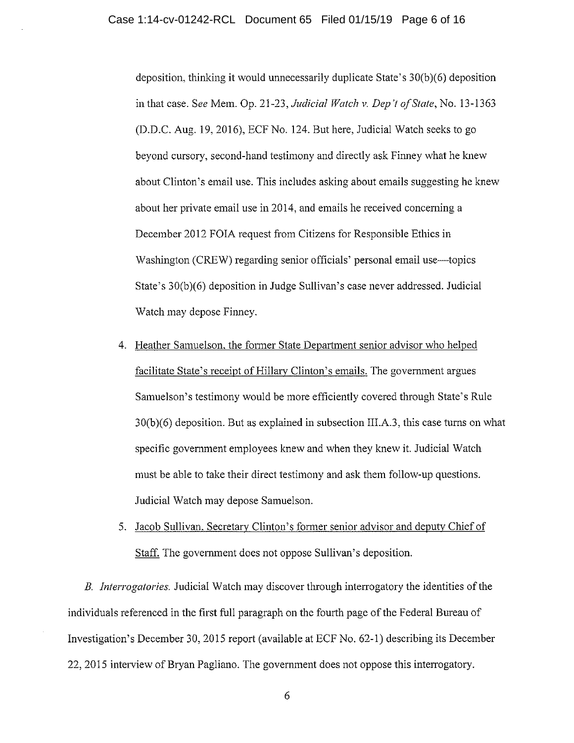deposition, thinking it would unnecessarily duplicate State's 30(b)(6) deposition in that case. *See* Mem. Op. 21-23, *Judicial Watch v. Dep 't of State,* No. 13-1363 (D.D.C. Aug. 19, 2016), ECF No. 124. But here, Judicial Watch seeks to go beyond cursory, second-hand testimony and directly ask Finney what he knew about Clinton's email use. This includes asking about emails suggesting he knew about her private email use in 2014, and emails he received concerning a December 2012 FOIA request from Citizens for Responsible Ethics in Washington (CREW) regarding senior officials' personal email use—topics State's 30(b)(6) deposition in Judge Sullivan's case never addressed. Judicial Watch may depose Finney.

- 4. Heather Samuelson. the former State Depariment senior advisor who helped facilitate State's receipt of Hillary Clinton's emails. The government argues Sarnuelson's testimony would be more efficiently covered through State's Rule 30(b)(6) deposition. But as explained in subsection III.A.3, this case turns on what specific goverrnnent employees knew and when they knew it. Judicial Watch must be able to take their direct testimony and ask them follow-up questions. Judicial Watch may depose Samuelson.
- 5. Jacob Sullivan. Secretarv Clinton's former senior advisor and deputy Chief of Staff. The government does not oppose Sullivan's deposition.

B. *Interrogatories.* Judicial Watch may discover through interrogatory the identities of the individuals referenced in the first full paragraph on the fourth page of the Federal Bureau of Investigation's December 30, 2015 report (available at ECF No. 62-1) describing its December 22, 2015 interview of Bryan Pagliano. The government does not oppose this interrogatory.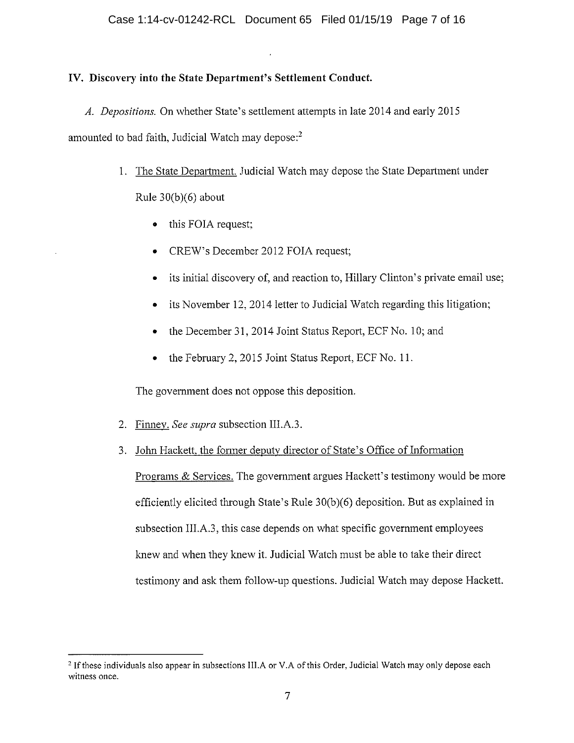# **IV. Discovery into the State Department's Settlement Conduct.**

*A. Depositions.* On whether State's settlement attempts in late 2014 and early 2015 amounted to bad faith, Judicial Watch may depose:<sup>2</sup>

- 1. The State Department. Judicial Watch may depose the State Department under Rule 30(b)(6) about
	- this FOIA request;
	- CREW's December 2012 FOIA request;
	- its initial discovery of, and reaction to, Hillary Clinton's private email use;
	- its November 12, 2014 letter to Judicial Watch regarding this litigation;
	- the December 31, 2014 Joint Status Report, ECF No. 10; and
	- the February 2, 2015 Joint Status Report, ECF No. 11.

The government does not oppose this deposition.

- 2. Finnev. *See supra* subsection III.A.3.
- 3. John Hackett, the former deputy director of State's Office of Information

Programs & Services. The government argues Hackett's testimony would be more efficiently elicited through State's Rule 30(b)(6) deposition. But as explained in subsection III.A.3, this case depends on what specific government employees knew and when they knew it. Judicial Watch must be able to take their direct testimony and ask them follow-up questions. Judicial Watch may depose Hackett.

<sup>&</sup>lt;sup>2</sup> If these individuals also appear in subsections III.A or V.A of this Order, Judicial Watch may only depose each **witness once.**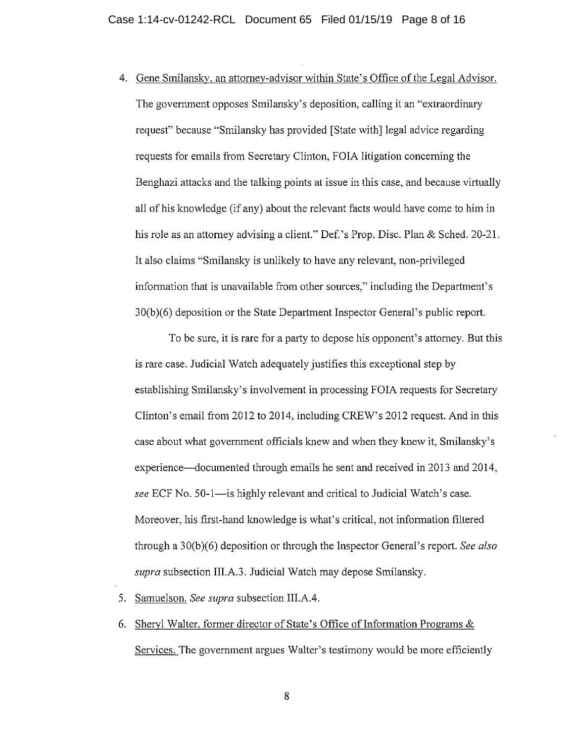4. Gene Smilanskv. an attorney-advisor within State's Office of the Legal Advisor. The government opposes Smilansky's deposition, calling it an "extraordinary request" because "Smilansky has provided [State with] legal advice regarding requests for emails from Secretary Clinton, FOIA litigation concerning the Benghazi attacks and the talking points at issue in this case, and because virtually all of his knowledge (if any) about the relevant facts would have come to him in his role as an attorney advising a client." Def.'s Prop. Disc. Plan & Sched. 20-21. It also claims "Smilansky is unlikely to have any relevant, non-privileged information that is unavailable from other sources," including the Depatiment's 30(b)(6) deposition or the State Department Inspector General's public report.

To be sure, it is rare for a party to depose his opponent's attorney. But this is rare case. Judicial Watch adequately justifies this exceptional step by establishing Smilansky's involvement in processing FOIA requests for Secretary Clinton's email from 2012 to 2014, including CREW's 2012 request. And in this case about what government officials knew and when they knew it, Smilansky's experience—documented through emails he sent and received in 2013 and 2014, *see* ECF No. 50-1—is highly relevant and critical to Judicial Watch's case. Moreover, his first-hand knowledge is what's critical, not infonnation filtered through a 30(b)(6) deposition or through the Inspector General's report. *See also supra* subsection III.A.3. Judicial Watch may depose Smilansky.

- 5. Samuelson. *See supra* subsection III.A.4.
- 6. Sheryl Walter, former director of State's Office of Information Programs  $\&$ Services. The govermnent argues Walter's testimony would be more efficiently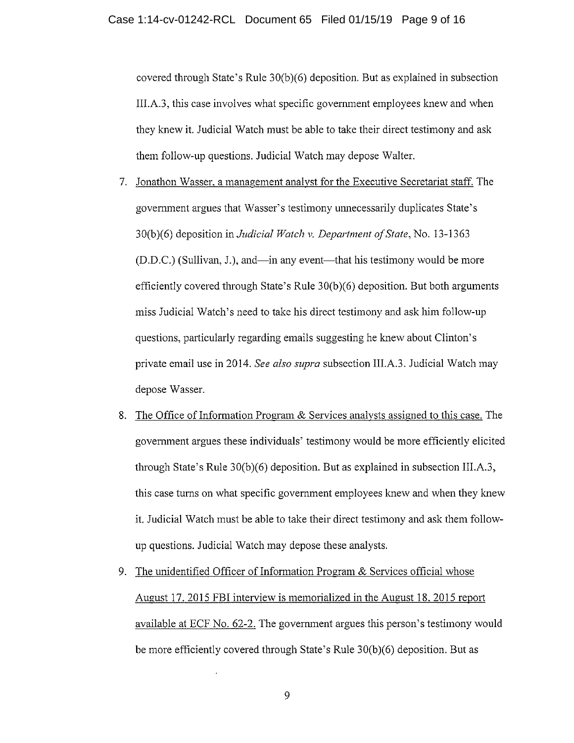covered through State's Rule 30(b)(6) deposition. But as explained in subsection III.A.3, this case involves what specific government employees knew and when they knew it. Judicial Watch must be able to take their direct testimony and ask them follow-up questions. Judicial Watch may depose Walter.

- 7. Jonathon Wasser. a management analyst for the Executive Secretariat staff. The government argues that Wasser's testimony unnecessarily duplicates State's 30(b)(6) deposition in *Judicial Watch v. Department of State,* No. 13-1363  $(D.D.C.)$  (Sullivan, J.), and—in any event—that his testimony would be more efficiently covered through State's Rule 30(b)(6) deposition. But both arguments miss Judicial Watch's need to take his direct testimony and ask him follow-up questions, particularly regarding emails suggesting he knew about Clinton's private email use in 2014. *See also supra* subsection III.A.3. Judicial Watch may depose Wasser.
- 8. The Office of Information Program & Services analysts assigned to this case. The government argues these individuals' testimony would be more efficiently elicited through State's Rule 30(b)(6) deposition. But as explained in subsection III.A.3, this case turns on what specific government employees knew and when they knew it. Judicial Watch must be able to take their direct testimony and ask them followup questions. Judicial Watch may depose these analysts.
- 9. The unidentified Officer of Information Program  $&$  Services official whose August 17, 2015 FBI interview is memorialized in the August 18, 2015 report available at ECF No. 62-2. The government argues this person's testimony would be more efficiently covered through State's Rule 30(b)(6) deposition. But as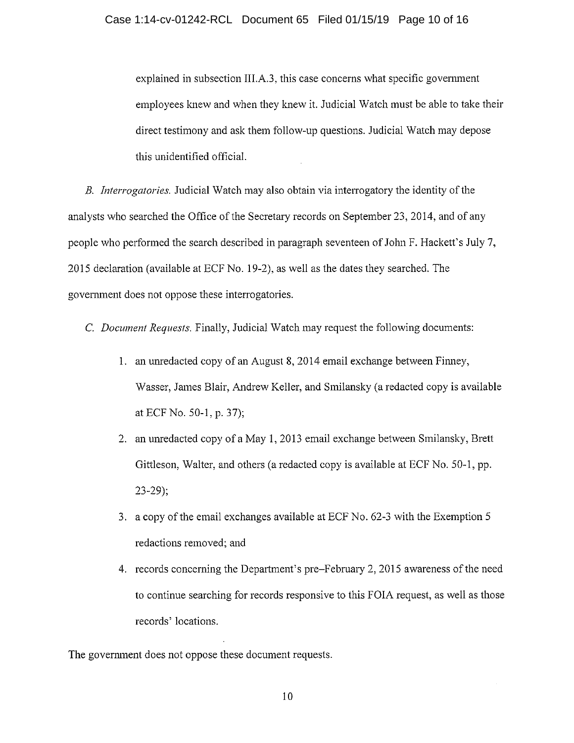explained in subsection III.A.3, this case concerns what specific government employees knew and when they knew it. Judicial Watch must be able to take their direct testimony and ask them follow-up questions. Judicial Watch may depose this unidentified official.

*B. Interrogatories.* Judicial Watch may also obtain via interrogatory the identity of the analysts who searched the Office of the Secretary records on September 23, 2014, and of any people who perfonned the search described in paragraph seventeen of John F. Hackett's July 7, 2015 declaration (available at ECF No. 19-2), as well as the dates they searched. The government does not oppose these interrogatories.

C. *Document Requests.* Finally, Judicial Watch may request the following documents:

- 1. an unredacted copy of an August 8, 2014 email exchange between Finney, Wasser, James Blair, Andrew Keller, and Smilansky (a redacted copy is available at ECF No. 50-1, p. 37);
- 2. an unredacted copy of a May 1, 2013 email exchange between Smilansky, Brett Gittleson, Walter, and others (a redacted copy is available at ECF No. 50-1, pp. 23-29);
- 3. a copy of the email exchanges available at ECF No. 62-3 with the Exemption 5 redactions removed; and
- 4. records concerning the Department's pre-February 2, 2015 awareness of the need to continue searching for records responsive to this FOIA request, as well as those records' locations.

The government does not oppose these document requests.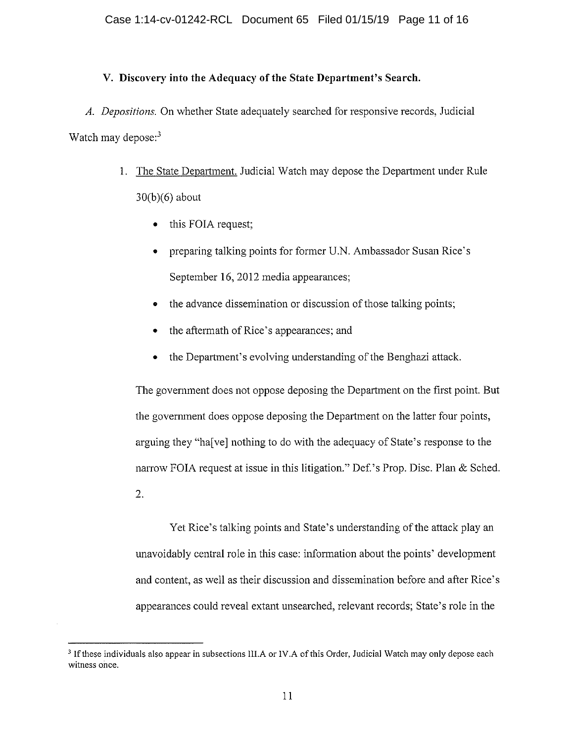## **V. Discovery into the Adequacy of the State Department's Search.**

*A. Depositions.* On whether State adequately searched for responsive records, Judicial Watch may depose: $3$ 

- 1. The State Department. Judicial Watch may depose the Department under Rule 30(b)(6) about
	- this FOIA request;
	- preparing talking points for former U.N. Ambassador Susan Rice's September 16, 2012 media appearances;
	- the advance dissemination or discussion of those talking points;
	- the aftermath of Rice's appearances; and
	- the Department's evolving understanding of the Benghazi attack.

The government does not oppose deposing the Department on the first point. But the government does oppose deposing the Department on the latter four points, arguing they "ha[ve] nothing to do with the adequacy of State's response to the narrow FOIA request at issue in this litigation." Def.'s Prop. Disc. Plan  $&$  Sched. 2.

Yet Rice's talking points and State's understanding of the attack play an unavoidably central role in this case: infonnation about the points' development and content, as well as their discussion and dissemination before and after Rice's appearances could reveal extant unsearched, relevant records; State's role in the

<sup>&</sup>lt;sup>3</sup> If these individuals also appear in subsections III.A or IV.A of this Order, Judicial Watch may only depose each **witness once.**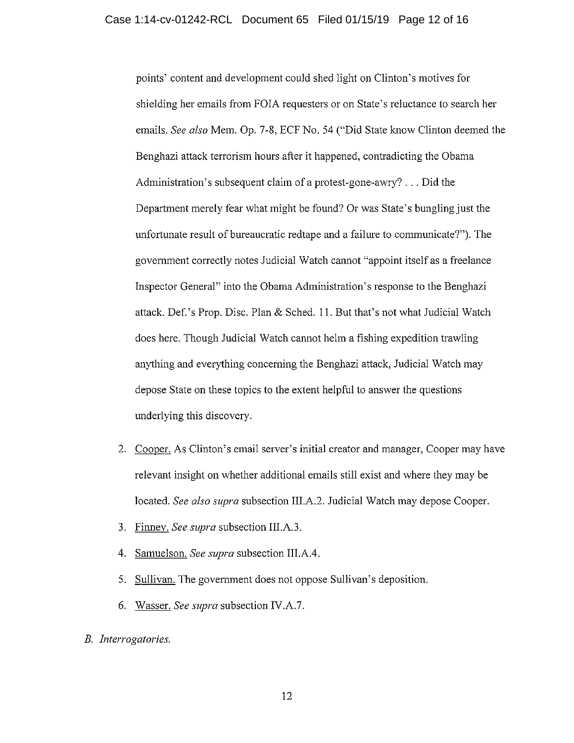points' content and development could shed light on Clinton's motives for shielding her emails from FOIA requesters or on State's reluctance to search her emails. *See also* Mem. Op. 7-8, ECF No. 54 ("Did State know Clinton deemed the Benghazi attack terrorism hours after it happened, contradicting the Obama Administration's subsequent claim of a protest-gone-awry? ... Did the Department merely fear what might be found? Or was State's bungling just the unfortunate result of bureaucratic redtape and a failure to communicate?"). The government correctly notes Judicial Watch cannot "appoint itself as a freelance Inspector General" into the Obama Administration's response to the Benghazi attack. Def. 's Prop. Disc. Plan & Sched. 11. But that's not what Judicial Watch does here. Though Judicial Watch cannot helm a fishing expedition trawling anything and everything concerning the Benghazi attack, Judicial Watch may depose State on these topics to the extent helpful to answer the questions underlying this discovery.

- 2. Cooper. As Clinton's email server's initial creator and manager, Cooper may have relevant insight on whether additional emails still exist and where they may be located. *See also supra* subsection III.A.2. Judicial Watch may depose Cooper.
- 3. Finney. *See supra* subsection III.A.3.
- 4. Samuelson. *See supra* subsection III.A.4.
- 5. Sullivan. The government does not oppose Sullivan's deposition.
- 6. Wasser. *See supra* subsection IV.A.7.
- *B. Interrogatories.*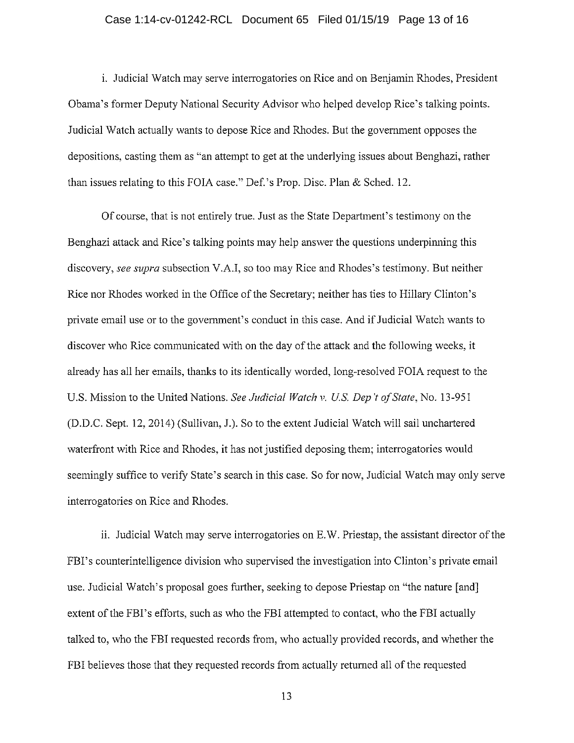### Case 1:14-cv-01242-RCL Document 65 Filed 01/15/19 Page 13 of 16

i. Judicial Watch may serve interrogatories on Rice and on Benjamin Rhodes, President Obama's fonner Deputy National Security Advisor who helped develop Rice's talking points. Judicial Watch actually wants to depose Rice and Rhodes. But the government opposes the depositions, casting them as "an attempt to get at the underlying issues about Benghazi, rather than issues relating to this FOIA case." Def.'s Prop. Disc. Plan & Sched. 12.

Of course, that is not entirely true. Just as the State Depmiment's testimony on the Benghazi attack and Rice's talking points may help answer the questions underpinning this discovery, *see supra* subsection V.A.I, so too may Rice and Rhodes's testimony. But neither Rice nor Rhodes worked in the Office of the Secretary; neither has ties to Hillary Clinton's private email use or to the government's conduct in this case. And if Judicial Watch wants to discover who Rice communicated with on the day of the attack and the following weeks, it already has all her emails, thanks to its identically worded, long-resolved FOIA request to the U.S. Mission to the United Nations. *See Judicial Watch v. US. Dep* 't *of State,* No. 13-951 (D.D.C. Sept. 12, 2014) (Sullivan, J.). So to the extent Judicial Watch will sail unchartered waterfront with Rice and Rhodes, it has not justified deposing them; interrogatories would seemingly suffice to verify State's search in this case. So for now, Judicial Watch may only serve interrogatories on Rice and Rhodes.

ii. Judicial Watch may serve interrogatories on E.W. Priestap, the assistant director of the FBI's counterintelligence division who supervised the investigation into Clinton's private email use. Judicial Watch's proposal goes further, seeking to depose Priestap on "the nature [and] extent of the FBI's efforts, such as who the FBI attempted to contact, who the FBI actually talked to, who the FBI requested records from, who actually provided records, and whether the FBI believes those that they requested records from actually returned all of the requested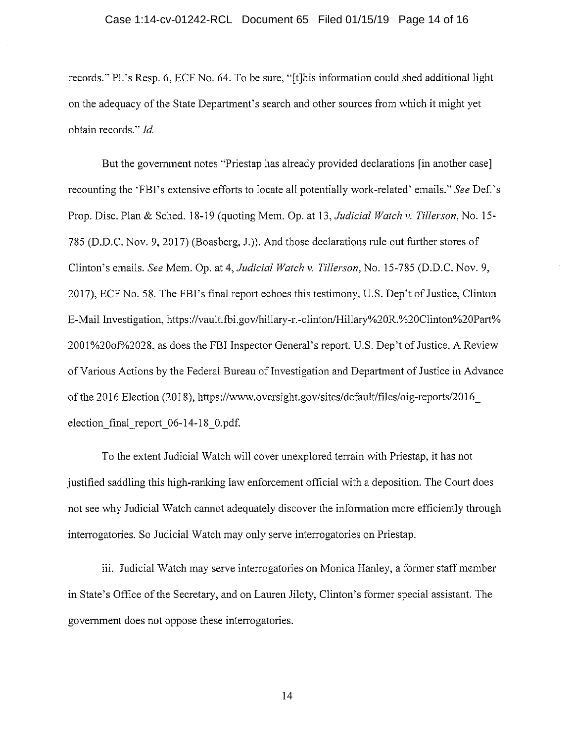### Case 1:14-cv-01242-RCL Document 65 Filed 01/15/19 Page 14 of 16

records." Pl.'s Resp. 6, ECF No. 64. To be sure, "[t]his information could shed additional light on the adequacy of the State Department's search and other sources from which it might yet obtain records." *Id.* 

But the government notes "Priestap has already provided declarations [in another case] recounting the 'FBI's extensive efforts to locate all potentially work-related' emails." *See* Def.'s Prop. Disc. Plan & Sched. 18-19 (quoting Mem. Op. at 13, *Judicial Watch v. Tillerson,* No. 15- 785 (D.D.C. Nov. 9, 2017) (Boasberg, J.)). And those declarations rule out further stores of Clinton's emails. *See* Mem. Op. at 4, *Judicial Watch v. Tillerson,* No. 15-785 (D.D.C. Nov. 9, 2017), ECF No. 58. The FBI's final report echoes this testimony, U.S. Dep't of Justice, Clinton E-Mail Investigation, https://vault.fbi.gov/hillary-r.-clinton/Hillary%20R.%20Clinton%20Part% 2001 % 2001 % 2028, as does the FBI Inspector General's report. U.S. Dep't of Justice, A Review of Various Actions by the Federal Bureau of Investigation and Department of Justice in Advance of the 2016 Election (2018), https://www.oversight.gov/sites/default/files/oig-reports/2016 election final report  $06-14-18$  0.pdf.

To the extent Judicial Watch will cover unexplored terrain with Priestap, it has not justified saddling this high-ranking law enforcement official with a deposition. The Court does not see why Judicial Watch cannot adequately discover the infonnation more efficiently through interrogatories. So Judicial Watch may only serve interrogatories on Priestap.

iii. Judicial Watch may serve interrogatories on Monica Hanley, a former staff member in State's Office of the Secretary, and on Lauren Jiloty, Clinton's fonner special assistant. The government does not oppose these interrogatories.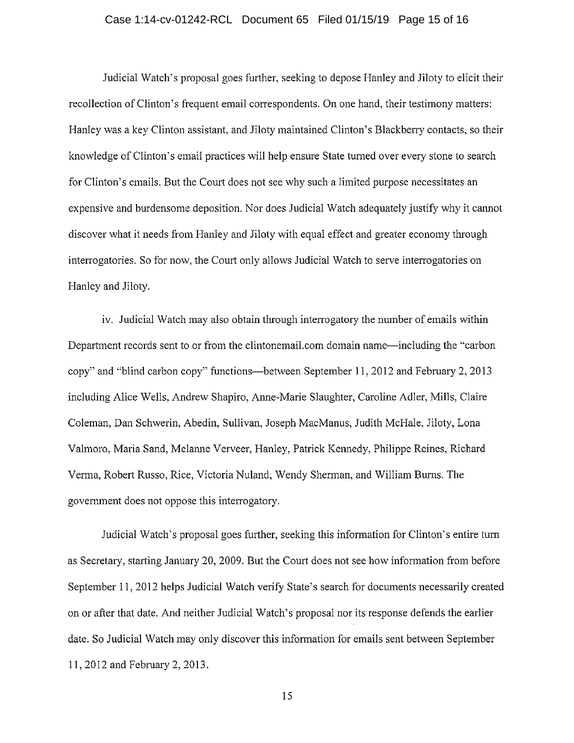### Case 1:14-cv-01242-RCL Document 65 Filed 01/15/19 Page 15 of 16

Judicial Watch's proposal goes further, seeking to depose Hanley and Jiloty to elicit their recollection of Clinton's frequent email correspondents. On one hand, their testimony matters: Hanley was a key Clinton assistant, and Jiloty maintained Clinton's Blackberry contacts, so their knowledge of Clinton's email practices will help ensure State turned over every stone to search for Clinton's emails. But the Court does not see why such a limited purpose necessitates an expensive and burdensome deposition. Nor does Judicial Watch adequately justify why it cannot discover what it needs from Hanley and Jiloty with equal effect and greater economy through interrogatories. So for now, the Court only allows Judicial Watch to serve interrogatories on Hanley and Jiloty.

1v. Judicial Watch may also obtain through interrogatory the number of emails within Department records sent to or from the clintonemail.com domain name—including the "carbon" copy" and "blind carbon copy" functions-between September 11, 2012 and February 2, 2013 including Alice Wells, Andrew Shapiro, Anne-Marie Slaughter, Caroline Adler, Mills, Claire Coleman, Dan Schwerin, Abedin, Sullivan, Joseph MacManus, Judith McHale, Jiloty, Lona Valmoro, Maria Sand, Melanne Verveer, Hanley, Patrick Kennedy, Philippe Reines, Richard Verma, Robert Russo, Rice, Victoria Nuland, Wendy Sherman, and William Burns. The govermnent does not oppose this interrogatory.

Judicial Watch's proposal goes further, seeking this infommtion for Clinton's entire turn as Secretary, starting January 20, 2009. But the Court does not see how information from before September 11, 2012 helps Judicial Watch verify State's search for documents necessarily created on or after that date. And neither Judicial Watch's proposal nor its response defends the earlier date. So Judicial Watch may only discover this infonnation for emails sent between September 11, 2012 and February 2, 2013.